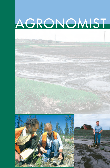